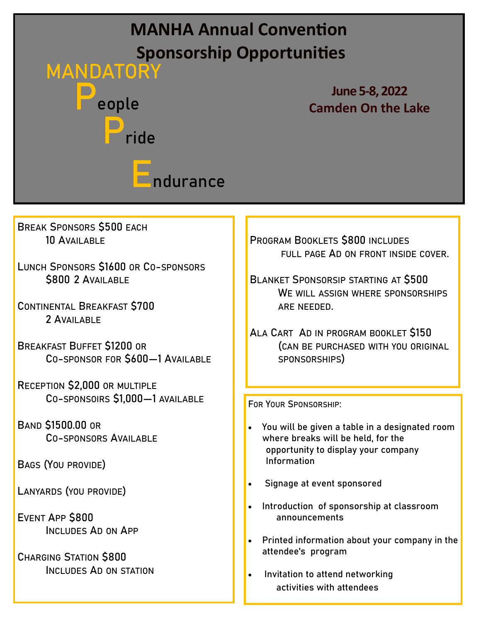